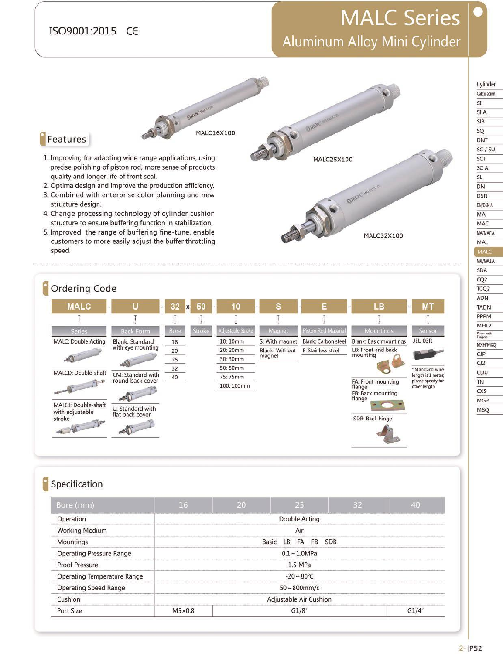#### ISO9001:2015 CE

1. Improving for adapting wide range applications, using

2. Optima design and improve the production efficiency.

3. Combined with enterprise color planning and new

4. Change processing technology of cylinder cushion

structure to ensure buffering function in stabilization.

quality and longer life of front seal.

precise polishing of piston rod, more sense of products

Features

structure design.

## **MALC Series** Aluminum Alloy Mini Cylinder

OWING

MALC25X100

ORITC wico

Cylinder Calculation  $\overline{\text{SI}}$ SI<sub>A</sub>  $SIB$ SQ DNT  $SC/SU$ SCT SCA. SL DN **DSN** DN/DSN A MA MAC MA/MACA MAL MALC MAL/MACL A SDA CQ<sub>2</sub> TCQ<sub>2</sub> ADN

**TADN** PPRM MHL<sub>2</sub>

Pneumati

CJP

 $CJ2$ 

CDU

TN

CXS

**MGP** 

**MSQ** 

MXH/MXQ



Compression

MALC16X100

| Bore (mm)                          | 16            | 20 | 25                             | 32         | 40    |
|------------------------------------|---------------|----|--------------------------------|------------|-------|
| Operation                          |               |    | <b>Double Acting</b>           |            |       |
| <b>Working Medium</b>              |               |    | Air                            |            |       |
| Mountings                          |               |    | <b>FB</b><br>Basic<br>LB<br>FA | <b>SDB</b> |       |
| <b>Operating Pressure Range</b>    |               |    | $0.1 - 1.0$ MPa                |            |       |
| <b>Proof Pressure</b>              |               |    | $1.5$ MPa                      |            |       |
| <b>Operating Temperature Range</b> |               |    | $-20 \sim 80^{\circ}$ C        |            |       |
| <b>Operating Speed Range</b>       |               |    | $50 - 800$ mm/s                |            |       |
| Cushion                            |               |    | Adjustable Air Cushion         |            |       |
| Port Size                          | $M5\times0.8$ |    | G1/8"                          |            | G1/4" |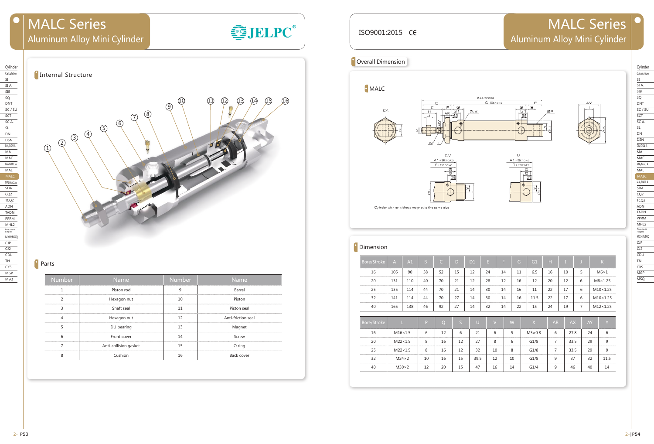| ISO9001:2015 CE   |     |     |                |                                                                                      |                            |                |                      |                                |                                                             |                       |                       |                   |                         | <b>MALC Seri</b><br>Aluminum Alloy Mini Cylir |
|-------------------|-----|-----|----------------|--------------------------------------------------------------------------------------|----------------------------|----------------|----------------------|--------------------------------|-------------------------------------------------------------|-----------------------|-----------------------|-------------------|-------------------------|-----------------------------------------------|
| Overall Dimension |     |     |                |                                                                                      |                            |                |                      |                                |                                                             |                       |                       |                   |                         |                                               |
| MALC<br>CA        |     | ¥]  | Е<br>н         | B<br>F                                                                               | G<br>G 1<br>G/2            | 2.X            | A+Stroke<br>C+Stroke |                                | G<br>G <sub>1</sub><br>$\frac{G/2}{2}$<br>٠<br>$\epsilon$ . | □<br>$\mathbf{s}$     | ØP                    |                   |                         | ΑY                                            |
|                   |     |     | JQ             | UМ<br>A1+Stroke<br>C+Stroke<br>φ<br>Cylinder with or without magnet is the same size | G<br>G <sub>1</sub><br>G/2 |                |                      |                                | Ü<br>A1+Stroke<br>C+Stroke<br>G                             | $\overline{G}$<br>G/2 |                       |                   |                         |                                               |
| Dimension         |     |     |                |                                                                                      |                            |                |                      |                                |                                                             |                       |                       |                   |                         |                                               |
| Bore/Stroke       | A   | A1  | $\overline{B}$ | $\mathsf{C}$                                                                         | $\mathsf{D}$               | D <sub>1</sub> | $\langle E \rangle$  | $\langle \mathbf{F} \rangle$ . | $\begin{bmatrix} G \end{bmatrix}$                           | G1                    | $\langle$ H $\rangle$ | $\vert$ T $\vert$ | $\overline{\mathsf{J}}$ | $\mathbf{K}$                                  |
| 16                | 105 | 90  | 38             | 52                                                                                   | 15                         | 12             | 24                   | 14                             | 11                                                          | $6.5\,$               | 16                    | 10                | 5                       | $M6\times1$                                   |
| 20                | 131 | 110 | 40             | 70                                                                                   | 21                         | 12             | 28                   | 12                             | 16                                                          | 12                    | 20                    | 12                | 6                       | $M8 \times 1.25$                              |
| 25                | 135 | 114 | 44             | 70                                                                                   | 21                         | 14             | 30                   | 14                             | 16                                                          | 11                    | 22                    | 17                | 6                       | $M10\times1.25$                               |
| 32                | 141 | 114 | 44             | 70                                                                                   | 27                         | 14             | 30                   | 14                             | 16                                                          | 11.5                  | 22                    | 17                | 6                       | $M10\times1.25$                               |
| 40                | 165 | 138 | 46             | 92                                                                                   | 27                         | 14             | 32                   | 14                             | 22                                                          | 15                    | 24                    | 19                | $\overline{7}$          | $M12\times1.25$                               |



| Bore/Stroke |                | P  | O  | IS. | U    |    | W  | X             | <b>AR</b>      | <b>AX</b> | <b>AY</b> |      |
|-------------|----------------|----|----|-----|------|----|----|---------------|----------------|-----------|-----------|------|
| 16          | $M16\times1.5$ | 6  | 12 | 6   | 21   | 6  | 5  | $M5\times0.8$ | 6              | 27.8      | 24        | 6    |
| 20          | $M22\times1.5$ | 8  | 16 | 12  | 27   | 8  | 6  | G1/8          | 7              | 33.5      | 29        | 9    |
| 25          | $M22\times1.5$ | 8  | 16 | 12  | 32   | 10 | 8  | G1/8          | $\overline{ }$ | 33.5      | 29        | 9    |
| 32          | $M24\times 2$  | 10 | 16 | 15  | 39.5 | 12 | 10 | G1/8          | 9              | 37        | 32        | 11.5 |
| 40          | $M30\times2$   | 12 | 20 | 15  | 47   | 16 | 14 | G1/4          | 9              | 46        | 40        | 14   |



### <sup>o</sup> Parts

| <b>Number</b> | <b>Name</b>           | Number | Name               |
|---------------|-----------------------|--------|--------------------|
|               | Piston rod            | 9      | Barrel             |
|               | Hexagon nut           | 10     | Piston             |
|               | Shaft seal            | 11     | Piston seal        |
| 4             | Hexagon nut           | 12     | Anti-friction seal |
|               | DU bearing            | 13     | Magnet             |
| 6             | Front cover           | 14     | Screw              |
|               | Anti-collision gasket | 15     | O ring             |
| 8             | Cushion               | 16     | Back cover         |

# MALC Series Aluminum Alloy Mini Cylinder

SJELPC®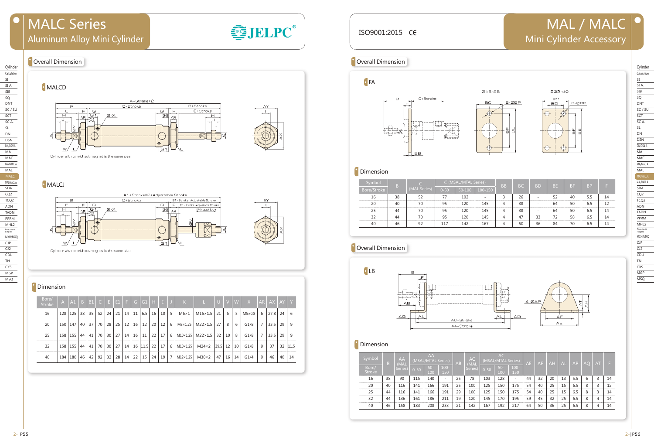### ISO9001:2015 CE

#### **Overall Dimension**

#### Cylinder Calculation SI SI A. SIB SQ DNT  $SC / SU$ SCT SC A. SL DN DSN DN/DSN A. MA MAC MA/MAC A. MAL MALC MAL/MACL A. SDA CQ2 TCQ2 ADN TADN PPRM MHL2 Pneumatic Fingers MXH/MXQ CJP CJ2 CDU TN **CXS** MGP MSQ

| Calculation              |
|--------------------------|
| SI                       |
| SI A                     |
| SIB                      |
| SQ                       |
| DNT                      |
| <b>SU</b><br>S           |
| SC<br>T                  |
| SC                       |
| SL                       |
| DN                       |
| DSN                      |
| DN/DSN A.                |
| МA                       |
| MA <sub>C</sub>          |
| MA/MAC A                 |
| MAL                      |
| MAL/MACL A               |
| MAL/MACL A               |
| —<br>SDA                 |
|                          |
| CQ <sub>2</sub>          |
| TCQ <sub>2</sub>         |
| ADN                      |
| <b>TADN</b>              |
| PPRM                     |
| MHL2                     |
| Pneur<br>natic<br>Finger |
| MXH/MXQ                  |
| <b>CJP</b>               |
| CJ2                      |
| CDU                      |
| ΤN                       |
| <b>CXS</b>               |
| MGP                      |
| MSQ                      |

# MAL / MALC  $| \bullet \rangle$ Mini Cylinder Accessory







| Symbol                 | B. | AA<br>(MAL |          | A <sub>A</sub><br>(MSAL/MTAL Series) |                          | A <sub>B</sub> | <b>AC</b><br>(MAL |          | <b>AC</b><br>(MSAL/MTAL Series) |                          | <b>AE</b> | AF | <b>AH</b> | <b>AL</b> | AP  | <b>AO</b> | AT. | 5  |
|------------------------|----|------------|----------|--------------------------------------|--------------------------|----------------|-------------------|----------|---------------------------------|--------------------------|-----------|----|-----------|-----------|-----|-----------|-----|----|
| Bore/<br><b>Stroke</b> |    | Series)    | $0 - 50$ | $50-$<br>100                         | $100 -$<br>150           |                | Series)           | $0 - 50$ | $50 -$<br>100                   | $100 -$<br>150           |           |    |           |           |     |           |     |    |
| 16                     | 38 | 90         | 115      | 140                                  | $\overline{\phantom{a}}$ | 25             | 78                | 103      | 128                             | $\overline{\phantom{a}}$ | 44        | 32 | 20        | 13        | 5.5 | 6         | 3   | 14 |
| 20                     | 40 | 116        | 141      | 166                                  | 191                      | 25             | 100               | 125      | 150                             | 175                      | 54        | 40 | 25        | 15        | 6.5 | 8         | 3   | 12 |
| 25                     | 44 | 116        | 141      | 166                                  | 191                      | 29             | 100               | 125      | 150                             | 175                      | 54        | 40 | 25        | 15        | 6.5 | 8         | 3   | 14 |
| 32                     | 44 | 136        | 161      | 186                                  | 211                      | 19             | 120               | 145      | 170                             | 195                      | 59        | 45 | 32        | 25        | 6.5 | 8         | 4   | 14 |
| 40                     | 46 | 158        | 183      | 208                                  | 233                      | 21             | 142               | 167      | 192                             | 217                      | 64        | 50 | 36        | 25        | 6.5 | 8         | 4   | 14 |

| MALCJ                                                        | Symbol         |           |                   |     | C (MSAL/MTAL Series) |                           | 8R L |          |    | REIREIRD |  |
|--------------------------------------------------------------|----------------|-----------|-------------------|-----|----------------------|---------------------------|------|----------|----|----------|--|
|                                                              | Bore/Stroke    |           | <b>MAL Series</b> |     |                      | $0-50$   50-100   100-150 |      |          |    |          |  |
| A1+Stroke×2+Adjustable Stroke                                |                | $\sim$    |                   | 77  | 102                  |                           |      | $\sim$   |    |          |  |
| $C+Store$<br><b>E1 - Stroke i Aciustable Stroke</b>          | $\Omega$<br>ZU |           |                   | 95  | 120                  | 145                       |      | 38       |    |          |  |
| مستحصل<br>______________<br>____<br>1 - Acjustable Stroke II | つち             | 44        | $70^{\circ}$      | 95  | 120                  | 145                       |      | 38       |    |          |  |
|                                                              |                | $\Lambda$ |                   | 95  | 120                  | 145                       |      |          | 33 |          |  |
|                                                              |                |           | ດາ                | 117 | 142                  | 167                       |      | 50<br>JU | ≺h |          |  |
|                                                              |                |           |                   |     |                      |                           |      |          |    |          |  |

### **Overall Dimension**



#### <sup>o</sup> Dimension



### **C** Dimension

| Bore/<br><b>Stroke</b> | $\overline{A}$ | A1        |    | B   B1 | C  | LE. |    | $E1$ F | G               | $\overline{G1}$ | H  | -11         |    | ∖K !            |                | U    | $\overline{V}$  | <b>W</b>          | X             | AR | $AX$ $AY$ |    | <sup>Y</sup> |
|------------------------|----------------|-----------|----|--------|----|-----|----|--------|-----------------|-----------------|----|-------------|----|-----------------|----------------|------|-----------------|-------------------|---------------|----|-----------|----|--------------|
| 16                     | 128            | 125       | 38 | 35     | 52 | 24  | 21 | 14     | 11              | 6.5             | 16 | 10          | 5  | M6×1            | $M16\times1.5$ | 21   | 6               | - 5               | $M5\times0.8$ | 6  | 27.8      | 24 | -6           |
| 20                     | 150            | 147       | 40 | 37     | 70 | 28  | 25 | 12     | 16              | 12              | 20 | 12          | 6  | M8×1.25         | $M22\times1.5$ | 27   | 8               | -6                | G1/8          | 7  | 33.5      | 29 | 9            |
| 25                     |                | 158 155   | 44 | 41     | 70 | 30  | 27 | 14     | 16 <sup>1</sup> | 11              | 22 | 17          | -6 | $M10\times1.25$ | $M22\times1.5$ | 32   | 10              | - 8               | G1/8          | 7  | 33.5      | 29 | -9           |
| 32                     |                | 158   155 | 44 | 41     | 70 | 30  | 27 | 14     |                 | 16   11.5   22  |    | 17          | 6  | $M10\times1.25$ | $M24\times 2$  | 39.5 | 12 <sup>1</sup> | 10 <sup>1</sup>   | G1/8          | 9  | 37        |    | 32 11.5      |
| 40                     | 184            | 180       | 46 | 42     | 92 | 32  | 28 | 14     |                 | $22 \mid 15$    | 24 | $19 \mid 7$ |    | M12×1.25        | $M30\times2$   | 47   |                 | $16 \mid 14 \mid$ | G1/4          | 9  | 46        | 40 | 14           |







### **Dimension**

# MALC Series Aluminum Alloy Mini Cylinder



#### **Overall Dimension**